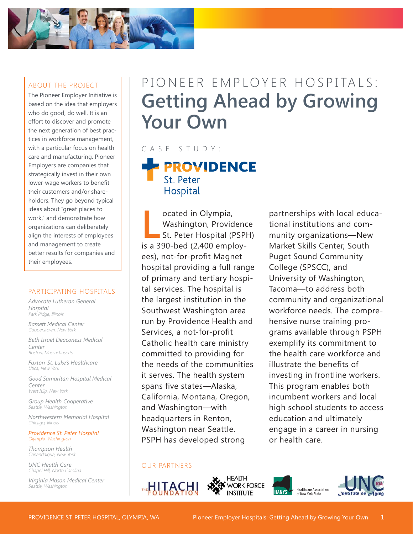

### ABOUT THE PROJECT

The Pioneer Employer Initiative is based on the idea that employers who do good, do well. It is an effort to discover and promote the next generation of best practices in workforce management, with a particular focus on health care and manufacturing. Pioneer Employers are companies that strategically invest in their own lower-wage workers to benefit their customers and/or shareholders. They go beyond typical ideas about "great places to work," and demonstrate how organizations can deliberately align the interests of employees and management to create better results for companies and their employees.

#### PARTICIPATING HOSPITALS

*Advocate Lutheran General Hospital* Park Ridge, Illinois

*Bassett Medical Center* Cooperstown, New York

*Beth Israel Deaconess Medical Center* Boston, Massachusetts

*Faxton-St. Luke's Healthcare* Utica, New York

*Good Samaritan Hospital Medical Center* West Islip, New York

*Group Health Cooperative* Seattle, Washington

*Northwestern Memorial Hospital* Chicago, Illinois

*Providence St. Peter Hospital* Olympia, Washington

*Thompson Health* Canandaigua, New York

*UNC Health Care* Chapel Hill, North Carolina

*Virginia Mason Medical Center* Seattle, Washington

# PIONEER EMPLOYER HOSPITALS: **Getting Ahead by Growing Your Own**

# CASE STUDY:

**PROVIDENCE** St. Peter Hospital

**La School of Alexandrian Control Control Control Control Control Control Control Control Control Control Control Control Control Control Control Control Control Control Control Control Control Control Control Control Cont** ocated in Olympia, Washington, Providence St. Peter Hospital (PSPH) ees), not-for-profit Magnet hospital providing a full range of primary and tertiary hospital services. The hospital is the largest institution in the Southwest Washington area run by Providence Health and Services, a not-for-profit Catholic health care ministry committed to providing for the needs of the communities it serves. The health system spans five states—Alaska, California, Montana, Oregon, and Washington—with headquarters in Renton, Washington near Seattle. PSPH has developed strong

partnerships with local educational institutions and community organizations—New Market Skills Center, South Puget Sound Community College (SPSCC), and University of Washington, Tacoma—to address both community and organizational workforce needs. The comprehensive nurse training programs available through PSPH exemplify its commitment to the health care workforce and illustrate the benefits of investing in frontline workers. This program enables both incumbent workers and local high school students to access education and ultimately engage in a career in nursing or health care.

#### OUR PARTNERS







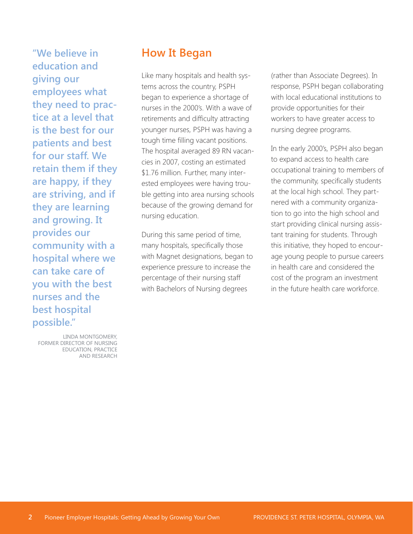**"We believe in education and giving our employees what they need to practice at a level that is the best for our patients and best for our staff. We retain them if they are happy, if they are striving, and if they are learning and growing. It provides our community with a hospital where we can take care of you with the best nurses and the best hospital possible."** 

LINDA MONTGOMERY, FORMER DIRECTOR OF NURSING EDUCATION, PRACTICE AND RESEARCH

## **How It Began**

Like many hospitals and health systems across the country, PSPH began to experience a shortage of nurses in the 2000's. With a wave of retirements and difficulty attracting younger nurses, PSPH was having a tough time filling vacant positions. The hospital averaged 89 RN vacancies in 2007, costing an estimated \$1.76 million. Further, many interested employees were having trouble getting into area nursing schools because of the growing demand for nursing education.

During this same period of time, many hospitals, specifically those with Magnet designations, began to experience pressure to increase the percentage of their nursing staff with Bachelors of Nursing degrees

(rather than Associate Degrees). In response, PSPH began collaborating with local educational institutions to provide opportunities for their workers to have greater access to nursing degree programs.

In the early 2000's, PSPH also began to expand access to health care occupational training to members of the community, specifically students at the local high school. They partnered with a community organization to go into the high school and start providing clinical nursing assistant training for students. Through this initiative, they hoped to encourage young people to pursue careers in health care and considered the cost of the program an investment in the future health care workforce.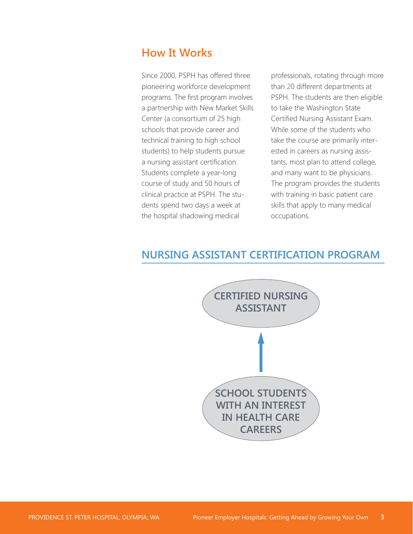## **How It Works**

Since 2000, PSPH has offered three pioneering workforce development programs. The first program involves a partnership with New Market Skills Center (a consortium of 25 high schools that provide career and technical training to high school students) to help students pursue a nursing assistant certification. Students complete a year-long course of study and 50 hours of clinical practice at PSPH. The students spend two days a week at the hospital shadowing medical

professionals, rotating through more than 20 different departments at PSPH. The students are then eligible to take the Washington State Certified Nursing Assistant Exam. While some of the students who take the course are primarily interested in careers as nursing assistants, most plan to attend college, and many want to be physicians. The program provides the students with training in basic patient care skills that apply to many medical occupations.

### **NURSING ASSISTANT CERTIFICATION PROGRAM**

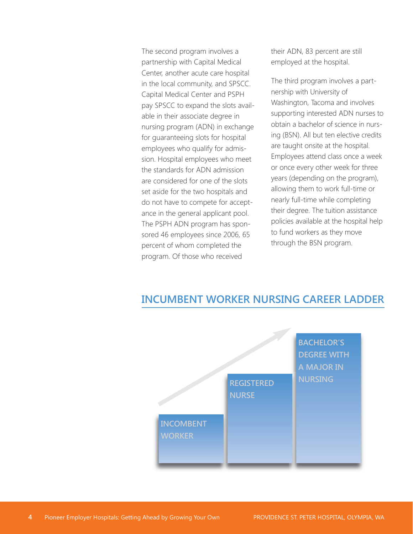The second program involves a partnership with Capital Medical Center, another acute care hospital in the local community, and SPSCC. Capital Medical Center and PSPH pay SPSCC to expand the slots available in their associate degree in nursing program (ADN) in exchange for guaranteeing slots for hospital employees who qualify for admission. Hospital employees who meet the standards for ADN admission are considered for one of the slots set aside for the two hospitals and do not have to compete for acceptance in the general applicant pool. The PSPH ADN program has sponsored 46 employees since 2006, 65 percent of whom completed the program. Of those who received

their ADN, 83 percent are still employed at the hospital.

The third program involves a partnership with University of Washington, Tacoma and involves supporting interested ADN nurses to obtain a bachelor of science in nursing (BSN). All but ten elective credits are taught onsite at the hospital. Employees attend class once a week or once every other week for three years (depending on the program), allowing them to work full-time or nearly full-time while completing their degree. The tuition assistance policies available at the hospital help to fund workers as they move through the BSN program.

# **BACHELOR'S DEGREE WITH A MAJOR IN NURSING REGISTERED NURSE INCOMBENT WORKER**

### **INCUMBENT WORKER NURSING CAREER LADDER**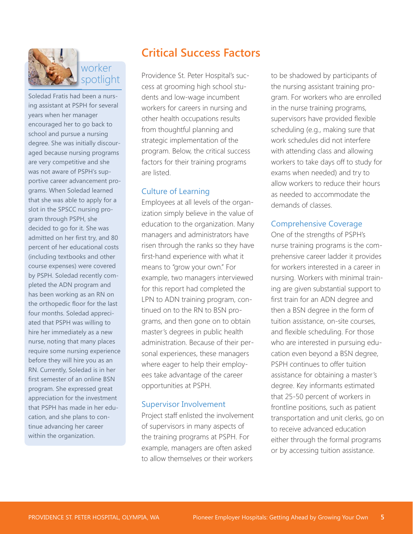

Soledad Fratis had been a nursing assistant at PSPH for several years when her manager encouraged her to go back to school and pursue a nursing degree. She was initially discouraged because nursing programs are very competitive and she was not aware of PSPH's supportive career advancement programs. When Soledad learned that she was able to apply for a slot in the SPSCC nursing program through PSPH, she decided to go for it. She was admitted on her first try, and 80 percent of her educational costs (including textbooks and other course expenses) were covered by PSPH. Soledad recently completed the ADN program and has been working as an RN on the orthopedic floor for the last four months. Soledad appreciated that PSPH was willing to hire her immediately as a new nurse, noting that many places require some nursing experience before they will hire you as an RN. Currently, Soledad is in her first semester of an online BSN program. She expressed great appreciation for the investment that PSPH has made in her education, and she plans to continue advancing her career within the organization.

# **Critical Success Factors**

Providence St. Peter Hospital's success at grooming high school students and low-wage incumbent workers for careers in nursing and other health occupations results from thoughtful planning and strategic implementation of the program. Below, the critical success factors for their training programs are listed.

### Culture of Learning

Employees at all levels of the organization simply believe in the value of education to the organization. Many managers and administrators have risen through the ranks so they have first-hand experience with what it means to "grow your own." For example, two managers interviewed for this report had completed the LPN to ADN training program, continued on to the RN to BSN programs, and then gone on to obtain master's degrees in public health administration. Because of their personal experiences, these managers where eager to help their employees take advantage of the career opportunities at PSPH.

### Supervisor Involvement

Project staff enlisted the involvement of supervisors in many aspects of the training programs at PSPH. For example, managers are often asked to allow themselves or their workers

to be shadowed by participants of the nursing assistant training program. For workers who are enrolled in the nurse training programs, supervisors have provided flexible scheduling (e.g., making sure that work schedules did not interfere with attending class and allowing workers to take days off to study for exams when needed) and try to allow workers to reduce their hours as needed to accommodate the demands of classes.

### Comprehensive Coverage

One of the strengths of PSPH's nurse training programs is the comprehensive career ladder it provides for workers interested in a career in nursing. Workers with minimal training are given substantial support to first train for an ADN degree and then a BSN degree in the form of tuition assistance, on-site courses, and flexible scheduling. For those who are interested in pursuing education even beyond a BSN degree, PSPH continues to offer tuition assistance for obtaining a master's degree. Key informants estimated that 25-50 percent of workers in frontline positions, such as patient transportation and unit clerks, go on to receive advanced education either through the formal programs or by accessing tuition assistance.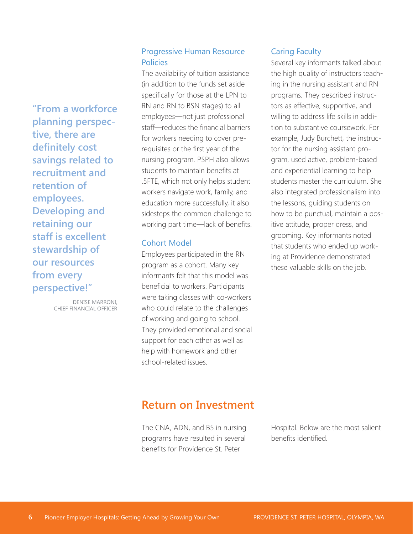**"From a workforce planning perspective, there are definitely cost savings related to recruitment and retention of employees. Developing and retaining our staff is excellent stewardship of our resources from every perspective!"**

> DENISE MARRONI, CHIEF FINANCIAL OFFICER

### Progressive Human Resource Policies

The availability of tuition assistance (in addition to the funds set aside specifically for those at the LPN to RN and RN to BSN stages) to all employees—not just professional staff—reduces the financial barriers for workers needing to cover prerequisites or the first year of the nursing program. PSPH also allows students to maintain benefits at .5FTE, which not only helps student workers navigate work, family, and education more successfully, it also sidesteps the common challenge to working part time—lack of benefits.

#### Cohort Model

Employees participated in the RN program as a cohort. Many key informants felt that this model was beneficial to workers. Participants were taking classes with co-workers who could relate to the challenges of working and going to school. They provided emotional and social support for each other as well as help with homework and other school-related issues.

### Caring Faculty

Several key informants talked about the high quality of instructors teaching in the nursing assistant and RN programs. They described instructors as effective, supportive, and willing to address life skills in addition to substantive coursework. For example, Judy Burchett, the instructor for the nursing assistant program, used active, problem-based and experiential learning to help students master the curriculum. She also integrated professionalism into the lessons, guiding students on how to be punctual, maintain a positive attitude, proper dress, and grooming. Key informants noted that students who ended up working at Providence demonstrated these valuable skills on the job.

# **Return on Investment**

The CNA, ADN, and BS in nursing programs have resulted in several benefits for Providence St. Peter

Hospital. Below are the most salient benefits identified.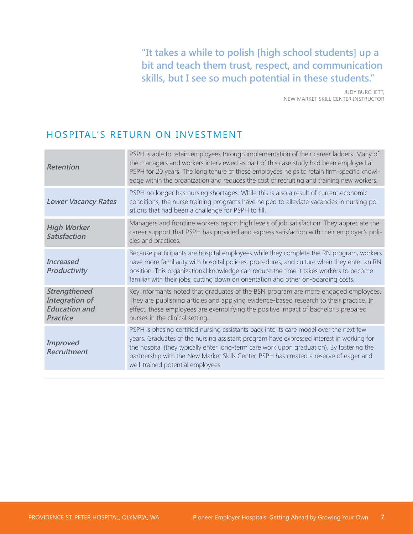**"It takes a while to polish [high school students] up a bit and teach them trust, respect, and communication skills, but I see so much potential in these students."**

> JUDY BURCHETT, NEW MARKET SKILL CENTER INSTRUCTOR

### HOSPITAL'S RETURN ON INVESTMENT

| <b>Retention</b>                                                                 | PSPH is able to retain employees through implementation of their career ladders. Many of<br>the managers and workers interviewed as part of this case study had been employed at<br>PSPH for 20 years. The long tenure of these employees helps to retain firm-specific knowl-<br>edge within the organization and reduces the cost of recruiting and training new workers.                                     |
|----------------------------------------------------------------------------------|-----------------------------------------------------------------------------------------------------------------------------------------------------------------------------------------------------------------------------------------------------------------------------------------------------------------------------------------------------------------------------------------------------------------|
| <b>Lower Vacancy Rates</b>                                                       | PSPH no longer has nursing shortages. While this is also a result of current economic<br>conditions, the nurse training programs have helped to alleviate vacancies in nursing po-<br>sitions that had been a challenge for PSPH to fill.                                                                                                                                                                       |
| <b>High Worker</b><br><b>Satisfaction</b>                                        | Managers and frontline workers report high levels of job satisfaction. They appreciate the<br>career support that PSPH has provided and express satisfaction with their employer's poli-<br>cies and practices.                                                                                                                                                                                                 |
| Increased<br><b>Productivity</b>                                                 | Because participants are hospital employees while they complete the RN program, workers<br>have more familiarity with hospital policies, procedures, and culture when they enter an RN<br>position. This organizational knowledge can reduce the time it takes workers to become<br>familiar with their jobs, cutting down on orientation and other on-boarding costs.                                          |
| Strengthened<br><b>Integration of</b><br><b>Education and</b><br><b>Practice</b> | Key informants noted that graduates of the BSN program are more engaged employees.<br>They are publishing articles and applying evidence-based research to their practice. In<br>effect, these employees are exemplifying the positive impact of bachelor's prepared<br>nurses in the clinical setting.                                                                                                         |
| <b>Improved</b><br><b>Recruitment</b>                                            | PSPH is phasing certified nursing assistants back into its care model over the next few<br>years. Graduates of the nursing assistant program have expressed interest in working for<br>the hospital (they typically enter long-term care work upon graduation). By fostering the<br>partnership with the New Market Skills Center, PSPH has created a reserve of eager and<br>well-trained potential employees. |